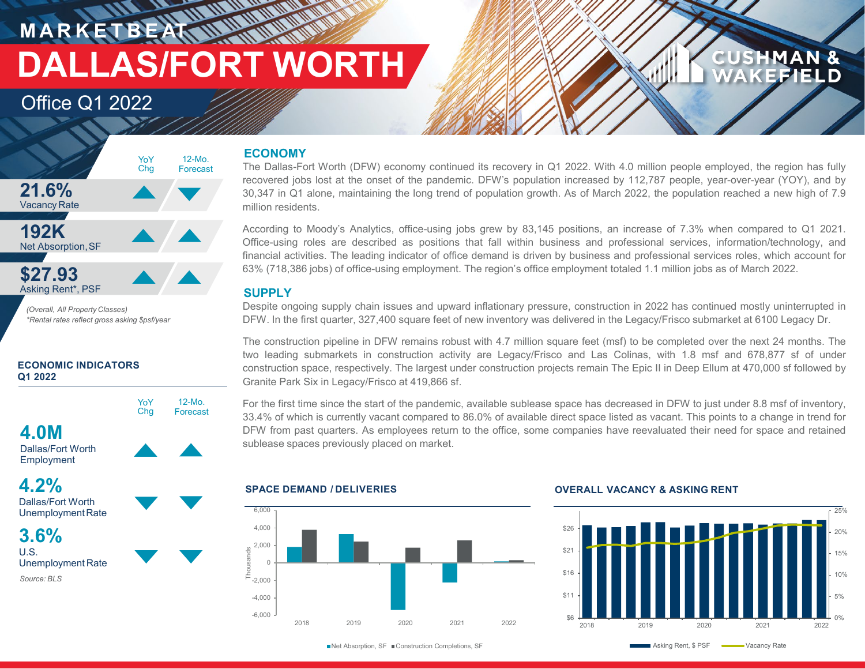**M A R K E T B E AT DALLAS/FORT WORTH**

### Office Q1 2022



*(Overall, All Property Classes) \*Rental rates reflect gross asking \$psf/year*

### **ECONOMIC INDICATORS Q1 2022**



12-Mo. Forecast

Dallas/Fort Worth Employment

**4.0M**



UnemploymentRate

**3.6%** U.S. Unemployment Rate *Source: BLS*

### **ECONOMY**

**HAMMAR** 

The Dallas-Fort Worth (DFW) economy continued its recovery in Q1 2022. With 4.0 million people employed, the region has fully recovered jobs lost at the onset of the pandemic. DFW's population increased by 112,787 people, year-over-year (YOY), and by 30,347 in Q1 alone, maintaining the long trend of population growth. As of March 2022, the population reached a new high of 7.9 million residents.

According to Moody's Analytics, office-using jobs grew by 83,145 positions, an increase of 7.3% when compared to Q1 2021. Office-using roles are described as positions that fall within business and professional services, information/technology, and financial activities. The leading indicator of office demand is driven by business and professional services roles, which account for 63% (718,386 jobs) of office-using employment. The region's office employment totaled 1.1 million jobs as of March 2022.

### **SUPPLY**

Despite ongoing supply chain issues and upward inflationary pressure, construction in 2022 has continued mostly uninterrupted in DFW. In the first quarter, 327,400 square feet of new inventory was delivered in the Legacy/Frisco submarket at 6100 Legacy Dr.

The construction pipeline in DFW remains robust with 4.7 million square feet (msf) to be completed over the next 24 months. The two leading submarkets in construction activity are Legacy/Frisco and Las Colinas, with 1.8 msf and 678,877 sf of under construction space, respectively. The largest under construction projects remain The Epic II in Deep Ellum at 470,000 sf followed by Granite Park Six in Legacy/Frisco at 419,866 sf.

For the first time since the start of the pandemic, available sublease space has decreased in DFW to just under 8.8 msf of inventory, 33.4% of which is currently vacant compared to 86.0% of available direct space listed as vacant. This points to a change in trend for DFW from past quarters. As employees return to the office, some companies have reevaluated their need for space and retained sublease spaces previously placed on market.

### -6,000 -4,000  $F = 2,000$  $\cap$ 2,000 4,000 6,000 2018 2019 2020 2021 2022 Thousands

### **SPACE DEMAND / DELIVERIES OVERALL VACANCY & ASKING RENT**



**CUSHMAN & WAKEFIELD**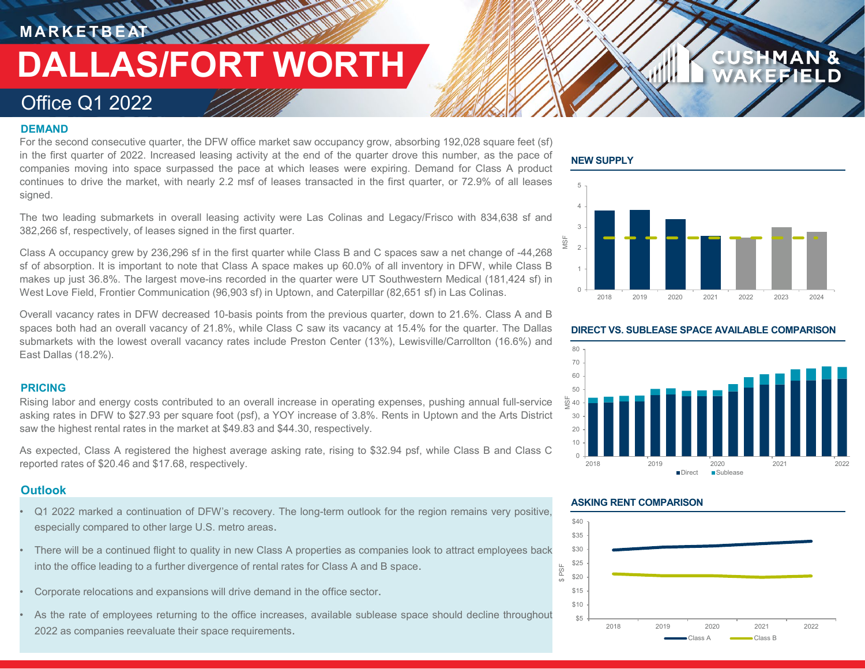**MARKETBEAT THE UNIVERSITY** 

# **DALLAS/FORT WORTH**

### Office Q1 2022

### **DEMAND**

For the second consecutive quarter, the DFW office market saw occupancy grow, absorbing 192,028 square feet (sf) in the first quarter of 2022. Increased leasing activity at the end of the quarter drove this number, as the pace of companies moving into space surpassed the pace at which leases were expiring. Demand for Class A product continues to drive the market, with nearly 2.2 msf of leases transacted in the first quarter, or 72.9% of all leases signed.

The two leading submarkets in overall leasing activity were Las Colinas and Legacy/Frisco with 834,638 sf and 382,266 sf, respectively, of leases signed in the first quarter.

Class A occupancy grew by 236,296 sf in the first quarter while Class B and C spaces saw a net change of -44,268 sf of absorption. It is important to note that Class A space makes up 60.0% of all inventory in DFW, while Class B makes up just 36.8%. The largest move-ins recorded in the quarter were UT Southwestern Medical (181,424 sf) in West Love Field, Frontier Communication (96,903 sf) in Uptown, and Caterpillar (82,651 sf) in Las Colinas.

Overall vacancy rates in DFW decreased 10-basis points from the previous quarter, down to 21.6%. Class A and B spaces both had an overall vacancy of 21.8%, while Class C saw its vacancy at 15.4% for the quarter. The Dallas submarkets with the lowest overall vacancy rates include Preston Center (13%), Lewisville/Carrollton (16.6%) and East Dallas (18.2%).

### **PRICING**

Rising labor and energy costs contributed to an overall increase in operating expenses, pushing annual full-service asking rates in DFW to \$27.93 per square foot (psf), a YOY increase of 3.8%. Rents in Uptown and the Arts District saw the highest rental rates in the market at \$49.83 and \$44.30, respectively.

As expected, Class A registered the highest average asking rate, rising to \$32.94 psf, while Class B and Class C reported rates of \$20.46 and \$17.68, respectively.

### **Outlook**

- Q1 2022 marked a continuation of DFW's recovery. The long-term outlook for the region remains very positive, especially compared to other large U.S. metro areas.
- There will be a continued flight to quality in new Class A properties as companies look to attract employees back into the office leading to a further divergence of rental rates for Class A and B space.
- Corporate relocations and expansions will drive demand in the office sector.
- As the rate of employees returning to the office increases, available sublease space should decline throughout 2022 as companies reevaluate their space requirements.

### **NEW SUPPLY**



**CUSHMAN &** 





### **ASKING RENT COMPARISON**

\$ PSF

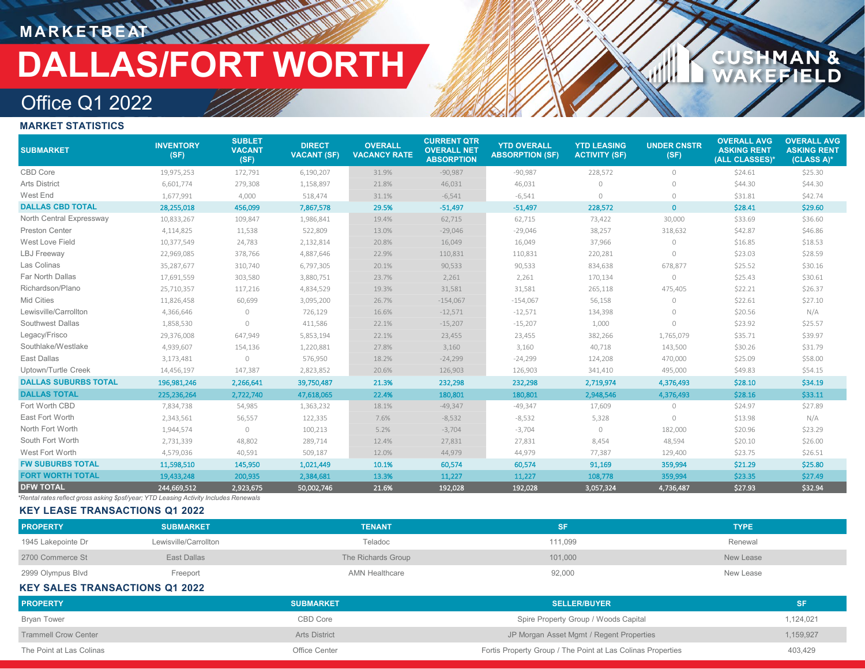# **MARKETBEAT AT AT AT ALL DALLAS/FORT WORTH**

# CUSHMAN &<br>WAKEFIELD

### Office Q1 2022

### **MARKET STATISTICS**

| <b>SUBMARKET</b>            | <b>INVENTORY</b><br>(SF) | <b>SUBLET</b><br><b>VACANT</b><br>(SF) | <b>DIRECT</b><br><b>VACANT (SF)</b> | <b>OVERALL</b><br><b>VACANCY RATE</b> | <b>CURRENT QTR</b><br><b>OVERALL NET</b><br><b>ABSORPTION</b> | <b>YTD OVERALL</b><br><b>ABSORPTION (SF)</b> | <b>YTD LEASING</b><br><b>ACTIVITY (SF)</b> | <b>UNDER CNSTR</b><br>(SF) | <b>OVERALL AVG</b><br><b>ASKING RENT</b><br>(ALL CLASSES)* | <b>OVERALL AVG</b><br><b>ASKING RENT</b><br>(CLASS A)* |
|-----------------------------|--------------------------|----------------------------------------|-------------------------------------|---------------------------------------|---------------------------------------------------------------|----------------------------------------------|--------------------------------------------|----------------------------|------------------------------------------------------------|--------------------------------------------------------|
| CBD Core                    | 19,975,253               | 172,791                                | 6,190,207                           | 31.9%                                 | $-90,987$                                                     | $-90,987$                                    | 228,572                                    | $\circlearrowright$        | \$24.61                                                    | \$25.30                                                |
| <b>Arts District</b>        | 6,601,774                | 279,308                                | 1,158,897                           | 21.8%                                 | 46,031                                                        | 46,031                                       | $\circ$                                    | $\circ$                    | \$44.30                                                    | \$44.30                                                |
| West End                    | 1,677,991                | 4,000                                  | 518,474                             | 31.1%                                 | $-6,541$                                                      | $-6,541$                                     | $\circ$                                    | $\circ$                    | \$31.81                                                    | \$42.74                                                |
| <b>DALLAS CBD TOTAL</b>     | 28,255,018               | 456,099                                | 7,867,578                           | 29.5%                                 | $-51,497$                                                     | $-51,497$                                    | 228,572                                    | $\mathbf{0}$               | \$28.41                                                    | \$29.60                                                |
| North Central Expressway    | 10,833,267               | 109,847                                | 1,986,841                           | 19.4%                                 | 62,715                                                        | 62,715                                       | 73,422                                     | 30,000                     | \$33.69                                                    | \$36.60                                                |
| <b>Preston Center</b>       | 4,114,825                | 11,538                                 | 522,809                             | 13.0%                                 | $-29,046$                                                     | $-29,046$                                    | 38,257                                     | 318,632                    | \$42.87                                                    | \$46.86                                                |
| West Love Field             | 10,377,549               | 24,783                                 | 2,132,814                           | 20.8%                                 | 16,049                                                        | 16,049                                       | 37,966                                     | $\Omega$                   | \$16.85                                                    | \$18.53                                                |
| <b>LBJ</b> Freeway          | 22,969,085               | 378,766                                | 4,887,646                           | 22.9%                                 | 110,831                                                       | 110,831                                      | 220,281                                    | $\Omega$                   | \$23.03                                                    | \$28.59                                                |
| Las Colinas                 | 35,287,677               | 310,740                                | 6,797,305                           | 20.1%                                 | 90,533                                                        | 90,533                                       | 834,638                                    | 678,877                    | \$25.52                                                    | \$30.16                                                |
| Far North Dallas            | 17,691,559               | 303,580                                | 3,880,751                           | 23.7%                                 | 2,261                                                         | 2,261                                        | 170,134                                    | $\circledcirc$             | \$25.43                                                    | \$30.61                                                |
| Richardson/Plano            | 25,710,357               | 117,216                                | 4,834,529                           | 19.3%                                 | 31,581                                                        | 31,581                                       | 265,118                                    | 475,405                    | \$22.21                                                    | \$26.37                                                |
| Mid Cities                  | 11,826,458               | 60,699                                 | 3,095,200                           | 26.7%                                 | $-154,067$                                                    | $-154,067$                                   | 56,158                                     | $\circ$                    | \$22.61                                                    | \$27.10                                                |
| Lewisville/Carrollton       | 4,366,646                | $\circ$                                | 726,129                             | 16.6%                                 | $-12,571$                                                     | $-12,571$                                    | 134,398                                    | $\Omega$                   | \$20.56                                                    | N/A                                                    |
| Southwest Dallas            | 1,858,530                | $\bigcirc$                             | 411,586                             | 22.1%                                 | $-15,207$                                                     | $-15,207$                                    | 1,000                                      | $\Omega$                   | \$23.92                                                    | \$25.57                                                |
| Legacy/Frisco               | 29,376,008               | 647,949                                | 5,853,194                           | 22.1%                                 | 23,455                                                        | 23,455                                       | 382,266                                    | 1,765,079                  | \$35.71                                                    | \$39.97                                                |
| Southlake/Westlake          | 4,939,607                | 154,136                                | 1,220,881                           | 27.8%                                 | 3,160                                                         | 3,160                                        | 40,718                                     | 143,500                    | \$30.26                                                    | \$31.79                                                |
| East Dallas                 | 3,173,481                | $\circ$                                | 576,950                             | 18.2%                                 | $-24,299$                                                     | $-24,299$                                    | 124,208                                    | 470,000                    | \$25.09                                                    | \$58.00                                                |
| Uptown/Turtle Creek         | 14,456,197               | 147,387                                | 2,823,852                           | 20.6%                                 | 126,903                                                       | 126,903                                      | 341,410                                    | 495,000                    | \$49.83                                                    | \$54.15                                                |
| <b>DALLAS SUBURBS TOTAL</b> | 196,981,246              | 2,266,641                              | 39,750,487                          | 21.3%                                 | 232,298                                                       | 232,298                                      | 2,719,974                                  | 4,376,493                  | \$28.10                                                    | \$34.19                                                |
| <b>DALLAS TOTAL</b>         | 225,236,264              | 2,722,740                              | 47,618,065                          | 22.4%                                 | 180,801                                                       | 180,801                                      | 2,948,546                                  | 4,376,493                  | \$28.16                                                    | \$33.11                                                |
| Fort Worth CBD              | 7,834,738                | 54,985                                 | 1,363,232                           | 18.1%                                 | $-49,347$                                                     | $-49,347$                                    | 17,609                                     | $\circ$                    | \$24.97                                                    | \$27.89                                                |
| East Fort Worth             | 2,343,561                | 56,557                                 | 122,335                             | 7.6%                                  | $-8,532$                                                      | $-8,532$                                     | 5,328                                      | $\bigcap$                  | \$13.98                                                    | N/A                                                    |
| North Fort Worth            | 1,944,574                | $\circlearrowright$                    | 100,213                             | 5.2%                                  | $-3,704$                                                      | $-3,704$                                     | $\circ$                                    | 182,000                    | \$20.96                                                    | \$23.29                                                |
| South Fort Worth            | 2,731,339                | 48,802                                 | 289,714                             | 12.4%                                 | 27,831                                                        | 27,831                                       | 8,454                                      | 48,594                     | \$20.10                                                    | \$26.00                                                |
| West Fort Worth             | 4,579,036                | 40,591                                 | 509,187                             | 12.0%                                 | 44,979                                                        | 44,979                                       | 77,387                                     | 129,400                    | \$23.75                                                    | \$26.51                                                |
| <b>FW SUBURBS TOTAL</b>     | 11,598,510               | 145,950                                | 1,021,449                           | 10.1%                                 | 60,574                                                        | 60,574                                       | 91,169                                     | 359,994                    | \$21.29                                                    | \$25.80                                                |
| <b>FORT WORTH TOTAL</b>     | 19,433,248               | 200,935                                | 2,384,681                           | 13.3%                                 | 11,227                                                        | 11,227                                       | 108,778                                    | 359,994                    | \$23.35                                                    | \$27.49                                                |
| <b>DFW TOTAL</b>            | 244,669,512              | 2,923,675                              | 50,002,746                          | 21.6%                                 | 192,028                                                       | 192,028                                      | 3,057,324                                  | 4,736,487                  | \$27.93                                                    | \$32.94                                                |

*\*Rental rates reflect gross asking \$psf/year; YTD Leasing Activity Includes Renewals*

### **KEY LEASE TRANSACTIONS Q1 2022**

| <b>PROPERTY</b>    | <b>SUBMARKET</b>      | <b>TENANT</b>      |         | <b>TYPE</b> |
|--------------------|-----------------------|--------------------|---------|-------------|
| 1945 Lakepointe Dr | Lewisville/Carrollton | Teladoc            | 111.099 | Renewal     |
| 2700 Commerce St   | East Dallas           | The Richards Group | 101,000 | New Lease   |
| 2999 Olympus Blvd  | Freeport              | AMN Healthcare     | 92,000  | New Lease   |

### **KEY SALES TRANSACTIONS Q1 2022**

| <b>PROPERTY</b>             | <b>SUBMARKET</b>     | <b>SELLER/BUYER</b>                                         | <b>SF</b> |
|-----------------------------|----------------------|-------------------------------------------------------------|-----------|
| <b>Bryan Tower</b>          | CBD Core             | Spire Property Group / Woods Capital                        | 1,124,021 |
| <b>Trammell Crow Center</b> | <b>Arts District</b> | JP Morgan Asset Mgmt / Regent Properties                    | 1,159,927 |
| The Point at Las Colinas    | Office Center        | Fortis Property Group / The Point at Las Colinas Properties | 403,429   |